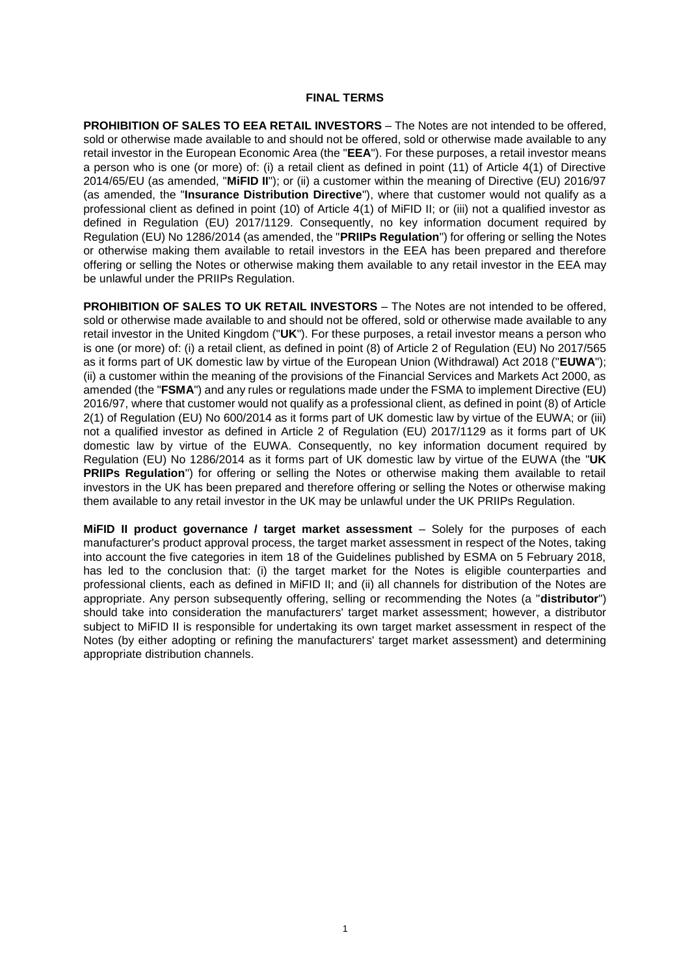### **FINAL TERMS**

**PROHIBITION OF SALES TO EEA RETAIL INVESTORS** – The Notes are not intended to be offered, sold or otherwise made available to and should not be offered, sold or otherwise made available to any retail investor in the European Economic Area (the "**EEA**"). For these purposes, a retail investor means a person who is one (or more) of: (i) a retail client as defined in point (11) of Article 4(1) of Directive 2014/65/EU (as amended, "**MiFID II**"); or (ii) a customer within the meaning of Directive (EU) 2016/97 (as amended, the "**Insurance Distribution Directive**"), where that customer would not qualify as a professional client as defined in point (10) of Article 4(1) of MiFID II; or (iii) not a qualified investor as defined in Regulation (EU) 2017/1129. Consequently, no key information document required by Regulation (EU) No 1286/2014 (as amended, the "**PRIIPs Regulation**") for offering or selling the Notes or otherwise making them available to retail investors in the EEA has been prepared and therefore offering or selling the Notes or otherwise making them available to any retail investor in the EEA may be unlawful under the PRIIPs Regulation.

**PROHIBITION OF SALES TO UK RETAIL INVESTORS** – The Notes are not intended to be offered, sold or otherwise made available to and should not be offered, sold or otherwise made available to any retail investor in the United Kingdom ("**UK**"). For these purposes, a retail investor means a person who is one (or more) of: (i) a retail client, as defined in point (8) of Article 2 of Regulation (EU) No 2017/565 as it forms part of UK domestic law by virtue of the European Union (Withdrawal) Act 2018 ("**EUWA**"); (ii) a customer within the meaning of the provisions of the Financial Services and Markets Act 2000, as amended (the "**FSMA**") and any rules or regulations made under the FSMA to implement Directive (EU) 2016/97, where that customer would not qualify as a professional client, as defined in point (8) of Article 2(1) of Regulation (EU) No 600/2014 as it forms part of UK domestic law by virtue of the EUWA; or (iii) not a qualified investor as defined in Article 2 of Regulation (EU) 2017/1129 as it forms part of UK domestic law by virtue of the EUWA. Consequently, no key information document required by Regulation (EU) No 1286/2014 as it forms part of UK domestic law by virtue of the EUWA (the "**UK PRIIPs Regulation**") for offering or selling the Notes or otherwise making them available to retail investors in the UK has been prepared and therefore offering or selling the Notes or otherwise making them available to any retail investor in the UK may be unlawful under the UK PRIIPs Regulation.

**MiFID II product governance / target market assessment** – Solely for the purposes of each manufacturer's product approval process, the target market assessment in respect of the Notes, taking into account the five categories in item 18 of the Guidelines published by ESMA on 5 February 2018, has led to the conclusion that: (i) the target market for the Notes is eligible counterparties and professional clients, each as defined in MiFID II; and (ii) all channels for distribution of the Notes are appropriate. Any person subsequently offering, selling or recommending the Notes (a "**distributor**") should take into consideration the manufacturers' target market assessment; however, a distributor subject to MiFID II is responsible for undertaking its own target market assessment in respect of the Notes (by either adopting or refining the manufacturers' target market assessment) and determining appropriate distribution channels.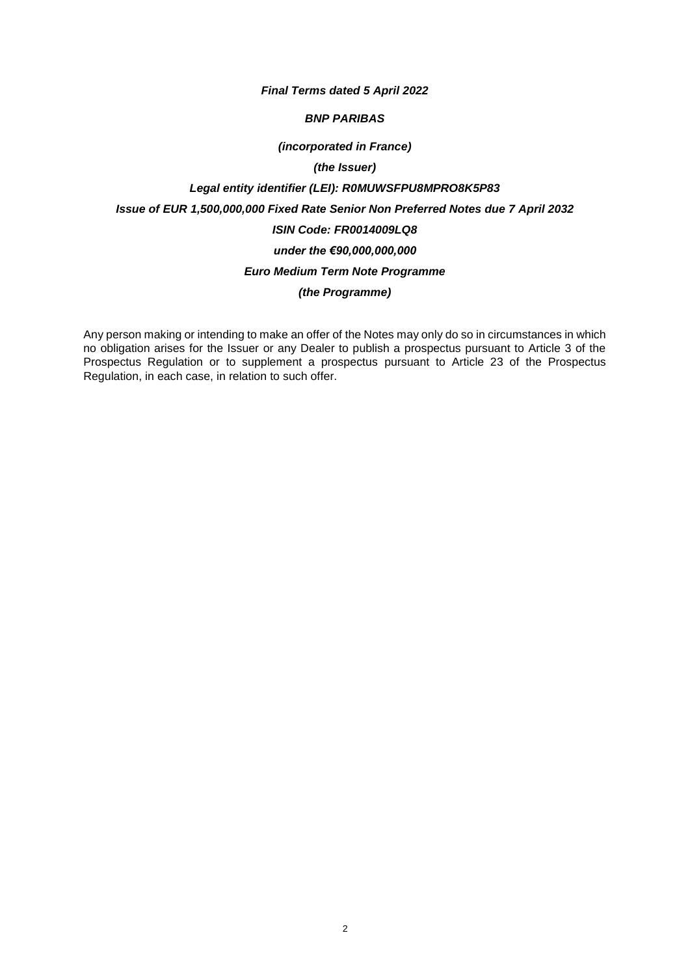### *Final Terms dated 5 April 2022*

### *BNP PARIBAS*

### *(incorporated in France)*

### *(the Issuer)*

# *Legal entity identifier (LEI): R0MUWSFPU8MPRO8K5P83 Issue of EUR 1,500,000,000 Fixed Rate Senior Non Preferred Notes due 7 April 2032 ISIN Code: FR0014009LQ8 under the €90,000,000,000 Euro Medium Term Note Programme (the Programme)*

Any person making or intending to make an offer of the Notes may only do so in circumstances in which no obligation arises for the Issuer or any Dealer to publish a prospectus pursuant to Article 3 of the Prospectus Regulation or to supplement a prospectus pursuant to Article 23 of the Prospectus Regulation, in each case, in relation to such offer.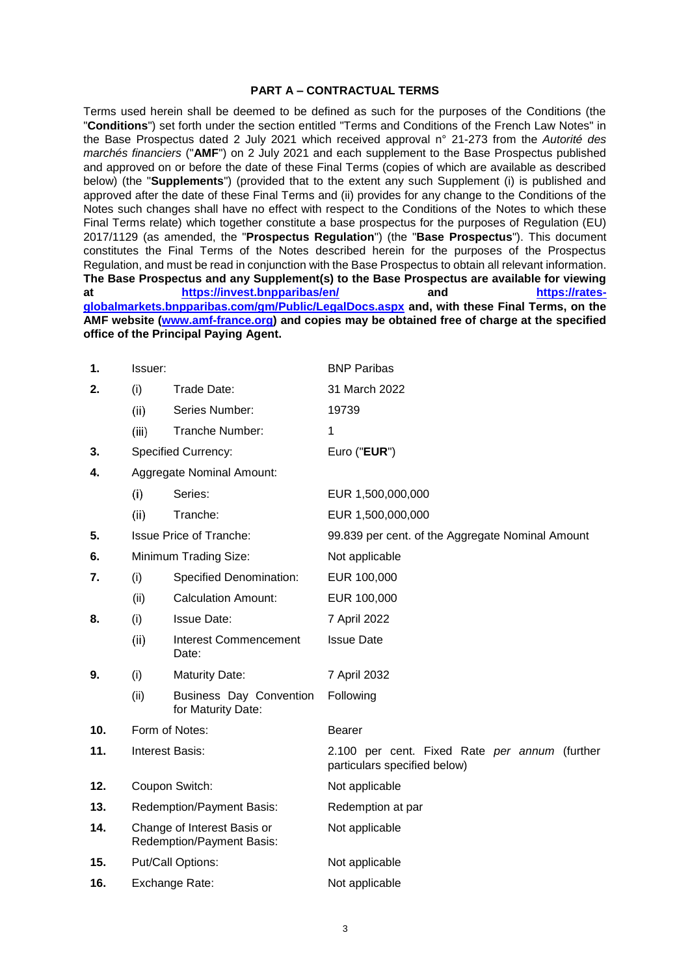### **PART A – CONTRACTUAL TERMS**

Terms used herein shall be deemed to be defined as such for the purposes of the Conditions (the "**Conditions**") set forth under the section entitled "Terms and Conditions of the French Law Notes" in the Base Prospectus dated 2 July 2021 which received approval n° 21-273 from the *Autorité des marchés financiers* ("**AMF**") on 2 July 2021 and each supplement to the Base Prospectus published and approved on or before the date of these Final Terms (copies of which are available as described below) (the "**Supplements**") (provided that to the extent any such Supplement (i) is published and approved after the date of these Final Terms and (ii) provides for any change to the Conditions of the Notes such changes shall have no effect with respect to the Conditions of the Notes to which these Final Terms relate) which together constitute a base prospectus for the purposes of Regulation (EU) 2017/1129 (as amended, the "**Prospectus Regulation**") (the "**Base Prospectus**"). This document constitutes the Final Terms of the Notes described herein for the purposes of the Prospectus Regulation, and must be read in conjunction with the Base Prospectus to obtain all relevant information. **The Base Prospectus and any Supplement(s) to the Base Prospectus are available for viewing at <https://invest.bnpparibas/en/> and [https://rates](https://rates-globalmarkets.bnpparibas.com/gm/Public/LegalDocs.aspx)[globalmarkets.bnpparibas.com/gm/Public/LegalDocs.aspx](https://rates-globalmarkets.bnpparibas.com/gm/Public/LegalDocs.aspx) and, with these Final Terms, on the AMF website [\(www.amf-france.org\)](http://www.amf-france.org/) and copies may be obtained free of charge at the specified office of the Principal Paying Agent.**

| 1.                                     | Issuer:                                                  |                                               | <b>BNP Paribas</b>                                                            |
|----------------------------------------|----------------------------------------------------------|-----------------------------------------------|-------------------------------------------------------------------------------|
| 2.                                     | (i)                                                      | Trade Date:                                   | 31 March 2022                                                                 |
|                                        | (ii)                                                     | Series Number:                                | 19739                                                                         |
|                                        | (iii)                                                    | Tranche Number:                               | 1                                                                             |
| 3.                                     |                                                          | <b>Specified Currency:</b>                    | Euro ("EUR")                                                                  |
| <b>Aggregate Nominal Amount:</b><br>4. |                                                          |                                               |                                                                               |
|                                        | (i)                                                      | Series:                                       | EUR 1,500,000,000                                                             |
|                                        | (ii)                                                     | Tranche:                                      | EUR 1,500,000,000                                                             |
| 5.                                     |                                                          | <b>Issue Price of Tranche:</b>                | 99.839 per cent. of the Aggregate Nominal Amount                              |
| 6.                                     |                                                          | Minimum Trading Size:                         | Not applicable                                                                |
| 7.                                     | (i)                                                      | <b>Specified Denomination:</b>                | EUR 100,000                                                                   |
|                                        | (ii)                                                     | <b>Calculation Amount:</b>                    | EUR 100,000                                                                   |
| 8.                                     | (i)                                                      | <b>Issue Date:</b>                            | 7 April 2022                                                                  |
|                                        | (ii)                                                     | <b>Interest Commencement</b><br>Date:         | <b>Issue Date</b>                                                             |
| 9.                                     | (i)                                                      | <b>Maturity Date:</b>                         | 7 April 2032                                                                  |
|                                        | (ii)                                                     | Business Day Convention<br>for Maturity Date: | Following                                                                     |
| 10.                                    |                                                          | Form of Notes:                                | <b>Bearer</b>                                                                 |
| 11.                                    |                                                          | <b>Interest Basis:</b>                        | 2.100 per cent. Fixed Rate per annum (further<br>particulars specified below) |
| 12.                                    |                                                          | Coupon Switch:                                | Not applicable                                                                |
| 13.                                    | <b>Redemption/Payment Basis:</b>                         |                                               | Redemption at par                                                             |
| 14.                                    | Change of Interest Basis or<br>Redemption/Payment Basis: |                                               | Not applicable                                                                |
| 15.                                    |                                                          | Put/Call Options:                             | Not applicable                                                                |
| 16.                                    | Exchange Rate:                                           |                                               | Not applicable                                                                |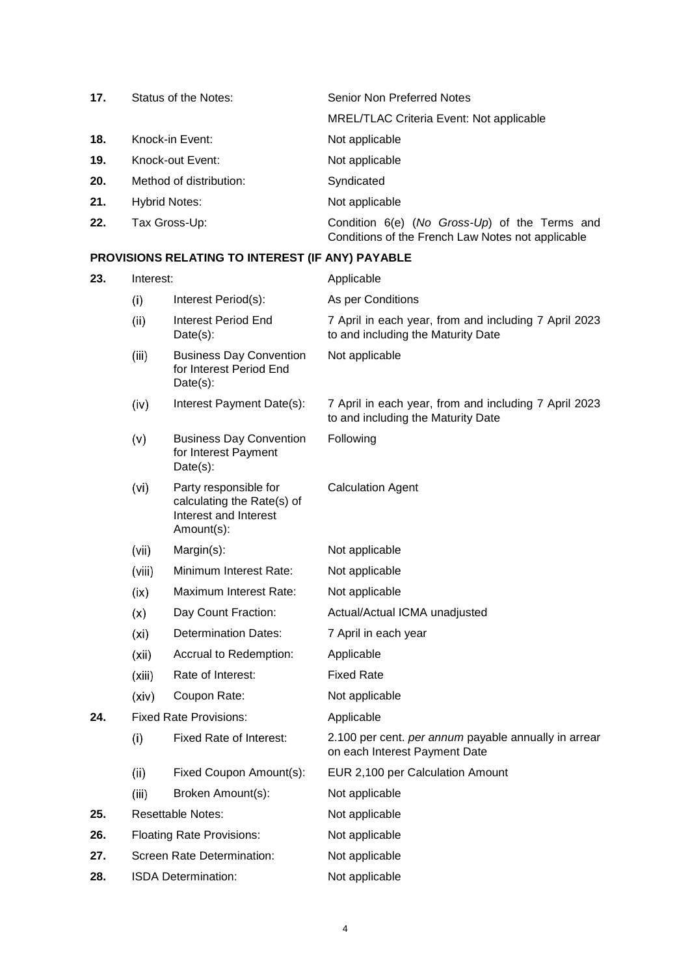| 17. | Status of the Notes:    | Senior Non Preferred Notes                                                                         |
|-----|-------------------------|----------------------------------------------------------------------------------------------------|
|     |                         | <b>MREL/TLAC Criteria Event: Not applicable</b>                                                    |
| 18. | Knock-in Event:         | Not applicable                                                                                     |
| 19. | Knock-out Event:        | Not applicable                                                                                     |
| 20. | Method of distribution: | Syndicated                                                                                         |
| 21. | <b>Hybrid Notes:</b>    | Not applicable                                                                                     |
| 22. | Tax Gross-Up:           | Condition 6(e) (No Gross-Up) of the Terms and<br>Conditions of the French Law Notes not applicable |

# **PROVISIONS RELATING TO INTEREST (IF ANY) PAYABLE**

| 23. | Interest: |                                                                                            | Applicable                                                                                  |
|-----|-----------|--------------------------------------------------------------------------------------------|---------------------------------------------------------------------------------------------|
|     | (i)       | Interest Period(s):                                                                        | As per Conditions                                                                           |
|     | (ii)      | <b>Interest Period End</b><br>$Date(s)$ :                                                  | 7 April in each year, from and including 7 April 2023<br>to and including the Maturity Date |
|     | (iii)     | <b>Business Day Convention</b><br>for Interest Period End<br>$Date(s)$ :                   | Not applicable                                                                              |
|     | (iv)      | Interest Payment Date(s):                                                                  | 7 April in each year, from and including 7 April 2023<br>to and including the Maturity Date |
|     | (v)       | <b>Business Day Convention</b><br>for Interest Payment<br>$Date(s)$ :                      | Following                                                                                   |
|     | (vi)      | Party responsible for<br>calculating the Rate(s) of<br>Interest and Interest<br>Amount(s): | <b>Calculation Agent</b>                                                                    |
|     | (vii)     | Margin(s):                                                                                 | Not applicable                                                                              |
|     | (viii)    | Minimum Interest Rate:                                                                     | Not applicable                                                                              |
|     | (ix)      | Maximum Interest Rate:                                                                     | Not applicable                                                                              |
|     | (x)       | Day Count Fraction:                                                                        | Actual/Actual ICMA unadjusted                                                               |
|     | (xi)      | <b>Determination Dates:</b>                                                                | 7 April in each year                                                                        |
|     | (xii)     | Accrual to Redemption:                                                                     | Applicable                                                                                  |
|     | (xiii)    | Rate of Interest:                                                                          | <b>Fixed Rate</b>                                                                           |
|     | (xiv)     | Coupon Rate:                                                                               | Not applicable                                                                              |
| 24. |           | <b>Fixed Rate Provisions:</b>                                                              | Applicable                                                                                  |
|     | (i)       | Fixed Rate of Interest:                                                                    | 2.100 per cent. per annum payable annually in arrear<br>on each Interest Payment Date       |
|     | (ii)      | Fixed Coupon Amount(s):                                                                    | EUR 2,100 per Calculation Amount                                                            |
|     | (iii)     | Broken Amount(s):                                                                          | Not applicable                                                                              |
| 25. |           | <b>Resettable Notes:</b>                                                                   | Not applicable                                                                              |
| 26. |           | <b>Floating Rate Provisions:</b>                                                           | Not applicable                                                                              |
| 27. |           | Screen Rate Determination:                                                                 | Not applicable                                                                              |
| 28. |           | <b>ISDA Determination:</b>                                                                 | Not applicable                                                                              |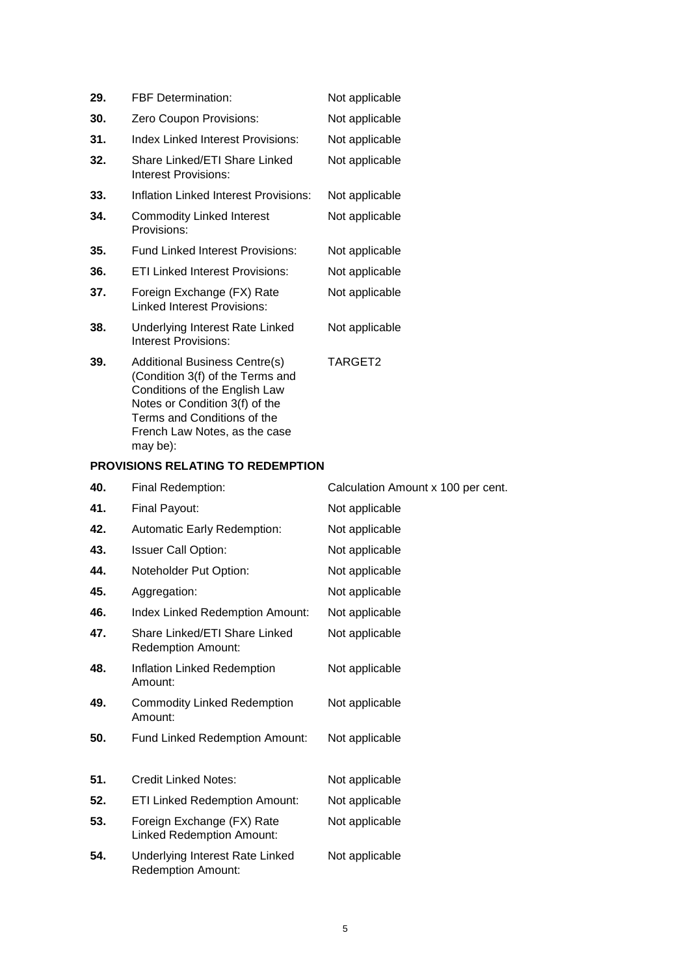| 29. | <b>FBF</b> Determination:<br>Not applicable                                                                                                                                                                 |                |  |
|-----|-------------------------------------------------------------------------------------------------------------------------------------------------------------------------------------------------------------|----------------|--|
| 30. | Zero Coupon Provisions:                                                                                                                                                                                     | Not applicable |  |
| 31. | Index Linked Interest Provisions:                                                                                                                                                                           | Not applicable |  |
| 32. | Share Linked/ETI Share Linked<br>Interest Provisions:                                                                                                                                                       | Not applicable |  |
| 33. | Inflation Linked Interest Provisions:<br>Not applicable                                                                                                                                                     |                |  |
| 34. | Commodity Linked Interest<br>Provisions:                                                                                                                                                                    | Not applicable |  |
| 35. | Fund Linked Interest Provisions:                                                                                                                                                                            | Not applicable |  |
| 36. | <b>ETI Linked Interest Provisions:</b>                                                                                                                                                                      | Not applicable |  |
| 37. | Foreign Exchange (FX) Rate<br>Linked Interest Provisions:                                                                                                                                                   | Not applicable |  |
| 38. | Underlying Interest Rate Linked<br>Interest Provisions:                                                                                                                                                     | Not applicable |  |
| 39. | <b>Additional Business Centre(s)</b><br>(Condition 3(f) of the Terms and<br>Conditions of the English Law<br>Notes or Condition 3(f) of the<br>Terms and Conditions of the<br>French Law Notes, as the case | TARGET2        |  |

# **PROVISIONS RELATING TO REDEMPTION**

may be):

| 40. | Final Redemption:                                              | Calculation Amount x 100 per cent. |
|-----|----------------------------------------------------------------|------------------------------------|
| 41. | Final Payout:                                                  | Not applicable                     |
| 42. | <b>Automatic Early Redemption:</b>                             | Not applicable                     |
| 43. | <b>Issuer Call Option:</b>                                     | Not applicable                     |
| 44. | Noteholder Put Option:                                         | Not applicable                     |
| 45. | Aggregation:                                                   | Not applicable                     |
| 46. | Index Linked Redemption Amount:                                | Not applicable                     |
| 47. | Share Linked/ETI Share Linked<br><b>Redemption Amount:</b>     | Not applicable                     |
| 48. | Inflation Linked Redemption<br>Amount:                         | Not applicable                     |
| 49. | <b>Commodity Linked Redemption</b><br>Amount:                  | Not applicable                     |
| 50. | Fund Linked Redemption Amount:                                 | Not applicable                     |
| 51. | <b>Credit Linked Notes:</b>                                    | Not applicable                     |
| 52. | <b>ETI Linked Redemption Amount:</b>                           | Not applicable                     |
| 53. | Foreign Exchange (FX) Rate<br><b>Linked Redemption Amount:</b> | Not applicable                     |
| 54. | Underlying Interest Rate Linked<br><b>Redemption Amount:</b>   | Not applicable                     |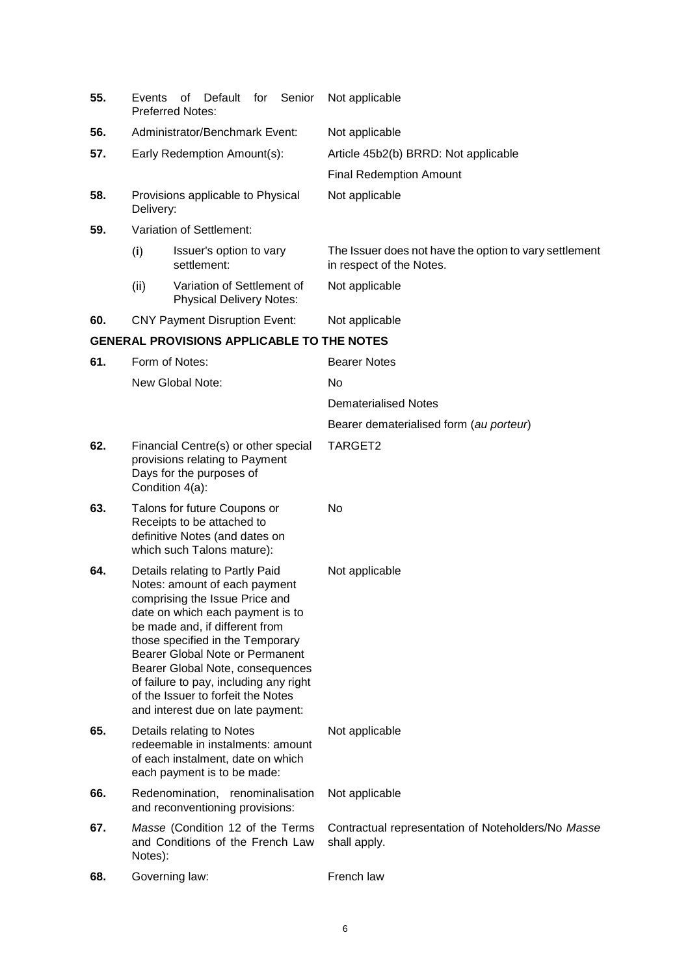| 55. | Default<br>for<br>Senior<br>Events<br>οf<br><b>Preferred Notes:</b>                                                                                                                                                                                                                                                                                                                                      | Not applicable                                                                     |
|-----|----------------------------------------------------------------------------------------------------------------------------------------------------------------------------------------------------------------------------------------------------------------------------------------------------------------------------------------------------------------------------------------------------------|------------------------------------------------------------------------------------|
| 56. | Administrator/Benchmark Event:                                                                                                                                                                                                                                                                                                                                                                           | Not applicable                                                                     |
| 57. | Early Redemption Amount(s):                                                                                                                                                                                                                                                                                                                                                                              | Article 45b2(b) BRRD: Not applicable                                               |
|     |                                                                                                                                                                                                                                                                                                                                                                                                          | <b>Final Redemption Amount</b>                                                     |
| 58. | Provisions applicable to Physical<br>Delivery:                                                                                                                                                                                                                                                                                                                                                           | Not applicable                                                                     |
| 59. | Variation of Settlement:                                                                                                                                                                                                                                                                                                                                                                                 |                                                                                    |
|     | (i)<br>Issuer's option to vary<br>settlement:                                                                                                                                                                                                                                                                                                                                                            | The Issuer does not have the option to vary settlement<br>in respect of the Notes. |
|     | (ii)<br>Variation of Settlement of<br><b>Physical Delivery Notes:</b>                                                                                                                                                                                                                                                                                                                                    | Not applicable                                                                     |
| 60. | <b>CNY Payment Disruption Event:</b>                                                                                                                                                                                                                                                                                                                                                                     | Not applicable                                                                     |
|     | <b>GENERAL PROVISIONS APPLICABLE TO THE NOTES</b>                                                                                                                                                                                                                                                                                                                                                        |                                                                                    |
| 61. | Form of Notes:                                                                                                                                                                                                                                                                                                                                                                                           | <b>Bearer Notes</b>                                                                |
|     | New Global Note:                                                                                                                                                                                                                                                                                                                                                                                         | No                                                                                 |
|     |                                                                                                                                                                                                                                                                                                                                                                                                          | <b>Dematerialised Notes</b>                                                        |
|     |                                                                                                                                                                                                                                                                                                                                                                                                          | Bearer dematerialised form (au porteur)                                            |
| 62. | Financial Centre(s) or other special<br>provisions relating to Payment<br>Days for the purposes of<br>Condition 4(a):                                                                                                                                                                                                                                                                                    | TARGET2                                                                            |
| 63. | Talons for future Coupons or<br>Receipts to be attached to<br>definitive Notes (and dates on<br>which such Talons mature):                                                                                                                                                                                                                                                                               | No                                                                                 |
| 64. | Details relating to Partly Paid<br>Notes: amount of each payment<br>comprising the Issue Price and<br>date on which each payment is to<br>be made and, if different from<br>those specified in the Temporary<br>Bearer Global Note or Permanent<br>Bearer Global Note, consequences<br>of failure to pay, including any right<br>of the Issuer to forfeit the Notes<br>and interest due on late payment: | Not applicable                                                                     |
| 65. | Details relating to Notes<br>redeemable in instalments: amount<br>of each instalment, date on which<br>each payment is to be made:                                                                                                                                                                                                                                                                       | Not applicable                                                                     |
| 66. | Redenomination, renominalisation<br>and reconventioning provisions:                                                                                                                                                                                                                                                                                                                                      | Not applicable                                                                     |
| 67. | Masse (Condition 12 of the Terms<br>and Conditions of the French Law<br>Notes):                                                                                                                                                                                                                                                                                                                          | Contractual representation of Noteholders/No Masse<br>shall apply.                 |
| 68. | Governing law:                                                                                                                                                                                                                                                                                                                                                                                           | French law                                                                         |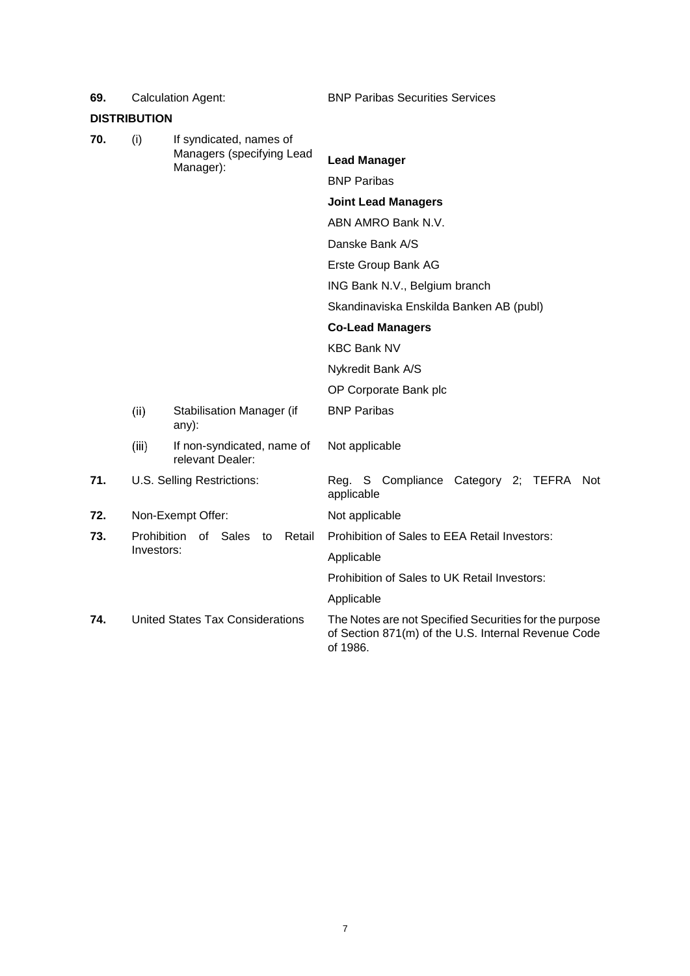|     | <b>DISTRIBUTION</b>                             |                                                |                                                                                                                           |
|-----|-------------------------------------------------|------------------------------------------------|---------------------------------------------------------------------------------------------------------------------------|
| 70. | (i)                                             | If syndicated, names of                        |                                                                                                                           |
|     |                                                 | Managers (specifying Lead<br>Manager):         | <b>Lead Manager</b>                                                                                                       |
|     |                                                 |                                                | <b>BNP Paribas</b>                                                                                                        |
|     |                                                 |                                                | <b>Joint Lead Managers</b>                                                                                                |
|     |                                                 |                                                | ABN AMRO Bank N.V.                                                                                                        |
|     |                                                 |                                                | Danske Bank A/S                                                                                                           |
|     |                                                 |                                                | Erste Group Bank AG                                                                                                       |
|     |                                                 |                                                | ING Bank N.V., Belgium branch                                                                                             |
|     |                                                 |                                                | Skandinaviska Enskilda Banken AB (publ)                                                                                   |
|     |                                                 |                                                | <b>Co-Lead Managers</b>                                                                                                   |
|     |                                                 |                                                | <b>KBC Bank NV</b>                                                                                                        |
|     |                                                 |                                                | Nykredit Bank A/S                                                                                                         |
|     |                                                 |                                                | OP Corporate Bank plc                                                                                                     |
|     | (ii)                                            | Stabilisation Manager (if<br>any):             | <b>BNP Paribas</b>                                                                                                        |
|     | (iii)                                           | If non-syndicated, name of<br>relevant Dealer: | Not applicable                                                                                                            |
| 71. |                                                 | U.S. Selling Restrictions:                     | Reg. S Compliance Category 2;<br>TEFRA<br>Not<br>applicable                                                               |
| 72. |                                                 | Non-Exempt Offer:                              | Not applicable                                                                                                            |
| 73. | Prohibition of Sales to<br>Retail<br>Investors: |                                                | Prohibition of Sales to EEA Retail Investors:                                                                             |
|     |                                                 |                                                | Applicable                                                                                                                |
|     |                                                 |                                                | Prohibition of Sales to UK Retail Investors:                                                                              |
|     |                                                 |                                                | Applicable                                                                                                                |
| 74. | <b>United States Tax Considerations</b>         |                                                | The Notes are not Specified Securities for the purpose<br>of Section 871(m) of the U.S. Internal Revenue Code<br>of 1986. |

**69.** Calculation Agent: BNP Paribas Securities Services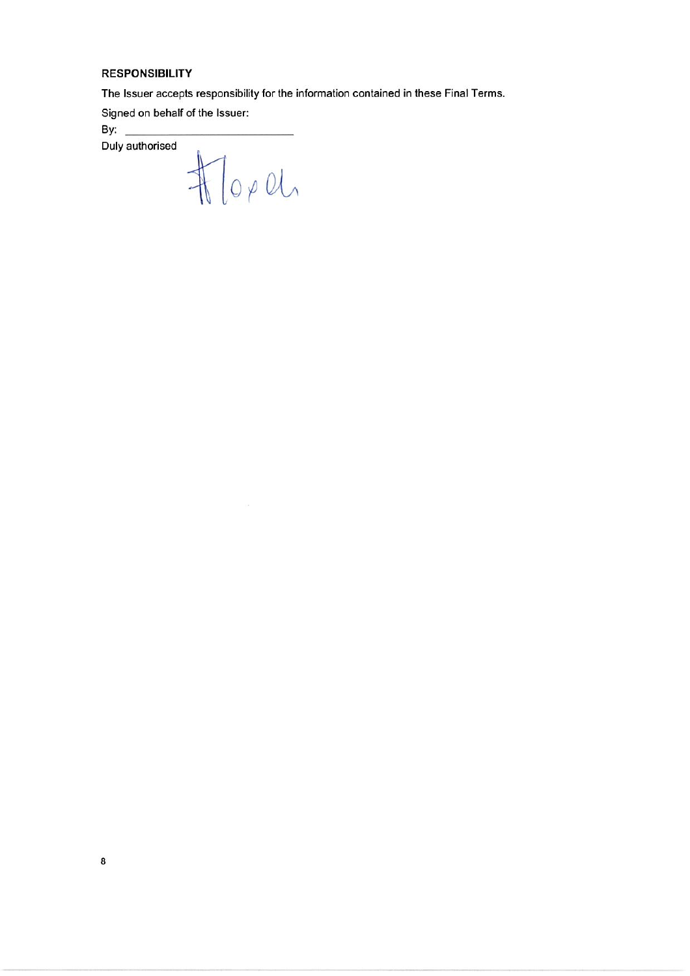### **RESPONSIBILITY**

The Issuer accepts responsibility for the information contained in these Final Terms.

Signed on behalf of the Issuer:

By:  $\_\_$ 

Duly authorised

 $\frac{1}{\sqrt{2}}\int_0^{\infty}1^{\frac{1}{2}}\left( \frac{1}{\sqrt{2}}\right) ^2\left( \frac{1}{\sqrt{2}}\right) ^{\frac{1}{2}}\left( \frac{1}{\sqrt{2}}\right) ^{\frac{1}{2}}\left( \frac{1}{\sqrt{2}}\right) ^{\frac{1}{2}}\left( \frac{1}{\sqrt{2}}\right) ^{\frac{1}{2}}\left( \frac{1}{\sqrt{2}}\right) ^{\frac{1}{2}}\left( \frac{1}{\sqrt{2}}\right) ^{\frac{1}{2}}\left( \frac{1}{\sqrt{2}}\right) ^{\frac{1}{2}}\left( \frac{$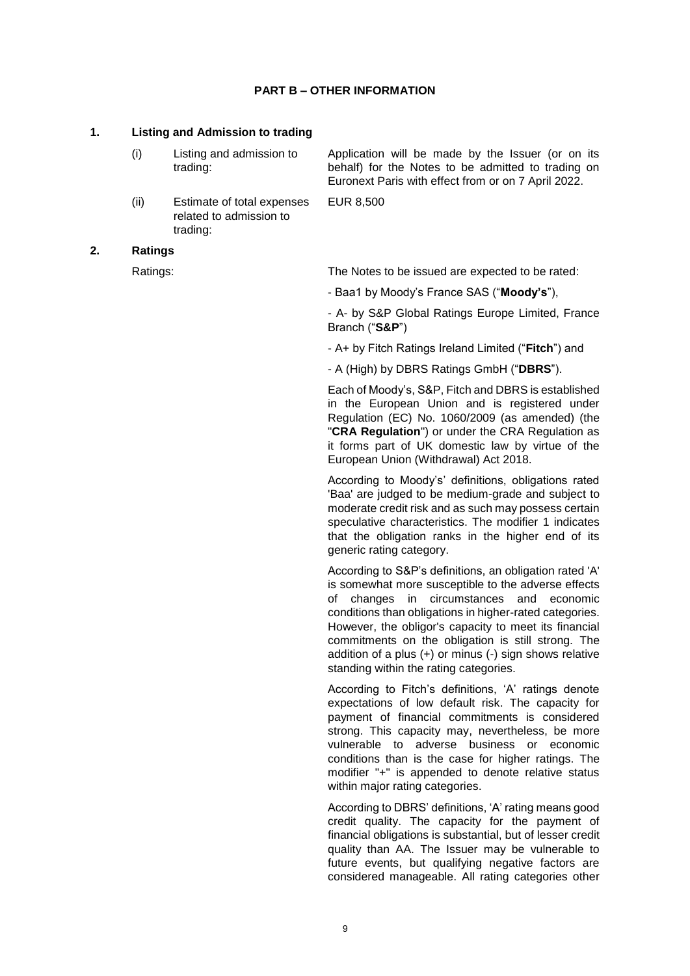### **PART B – OTHER INFORMATION**

### **1. Listing and Admission to trading**

- (i) Listing and admission to trading: Application will be made by the Issuer (or on its behalf) for the Notes to be admitted to trading on
- (ii) Estimate of total expenses related to admission to trading:

EUR 8,500

### **2. Ratings**

Ratings: The Notes to be issued are expected to be rated:

Euronext Paris with effect from or on 7 April 2022.

- Baa1 by Moody's France SAS ("**Moody's**"),

- A- by S&P Global Ratings Europe Limited, France Branch ("**S&P**")

- A+ by Fitch Ratings Ireland Limited ("**Fitch**") and

- A (High) by DBRS Ratings GmbH ("**DBRS**").

Each of Moody's, S&P, Fitch and DBRS is established in the European Union and is registered under Regulation (EC) No. 1060/2009 (as amended) (the "**CRA Regulation**") or under the CRA Regulation as it forms part of UK domestic law by virtue of the European Union (Withdrawal) Act 2018.

According to Moody's' definitions, obligations rated 'Baa' are judged to be medium-grade and subject to moderate credit risk and as such may possess certain speculative characteristics. The modifier 1 indicates that the obligation ranks in the higher end of its generic rating category.

According to S&P's definitions, an obligation rated 'A' is somewhat more susceptible to the adverse effects of changes in circumstances and economic conditions than obligations in higher-rated categories. However, the obligor's capacity to meet its financial commitments on the obligation is still strong. The addition of a plus (+) or minus (-) sign shows relative standing within the rating categories.

According to Fitch's definitions, 'A' ratings denote expectations of low default risk. The capacity for payment of financial commitments is considered strong. This capacity may, nevertheless, be more vulnerable to adverse business or economic conditions than is the case for higher ratings. The modifier "+" is appended to denote relative status within major rating categories.

According to DBRS' definitions, 'A' rating means good credit quality. The capacity for the payment of financial obligations is substantial, but of lesser credit quality than AA. The Issuer may be vulnerable to future events, but qualifying negative factors are considered manageable. All rating categories other